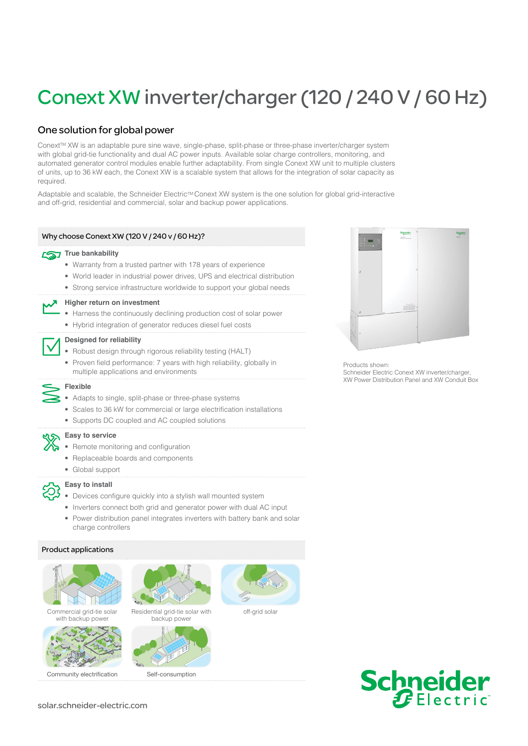# Conext XW inverter/charger (120 / 240 V / 60 Hz)

# One solution for global power

Conext™ XW is an adaptable pure sine wave, single-phase, split-phase or three-phase inverter/charger system with global grid-tie functionality and dual AC power inputs. Available solar charge controllers, monitoring, and automated generator control modules enable further adaptability. From single Conext XW unit to multiple clusters of units, up to 36 kW each, the Conext XW is a scalable system that allows for the integration of solar capacity as required.

Adaptable and scalable, the Schneider Electric™ Conext XW system is the one solution for global grid-interactive and off-grid, residential and commercial, solar and backup power applications.

# Why choose Conext XW (120 V / 240 v / 60 Hz)?

# **True bankability**

- Warranty from a trusted partner with 178 years of experience
- World leader in industrial power drives, UPS and electrical distribution
- Strong service infrastructure worldwide to support your global needs



### **Higher return on investment**

- Harness the continuously declining production cost of solar power
- Hybrid integration of generator reduces diesel fuel costs



### **Designed for reliability**

- Robust design through rigorous reliability testing (HALT)
- Proven field performance: 7 years with high reliability, globally in multiple applications and environments

# **Flexible**

- Adapts to single, split-phase or three-phase systems
- Scales to 36 kW for commercial or large electrification installations
- Supports DC coupled and AC coupled solutions



# **Easy to service**

- Remote monitoring and configuration
- Replaceable boards and components
- Global support



## **Easy to install**

- Devices configure quickly into a stylish wall mounted system
- Inverters connect both grid and generator power with dual AC input
- Power distribution panel integrates inverters with battery bank and solar charge controllers

### Product applications







Community electrification Self-consumption



Residential grid-tie solar with backup power





off-grid solar



Products shown: Schneider Electric Conext XW inverter/charger, XW Power Distribution Panel and XW Conduit Box